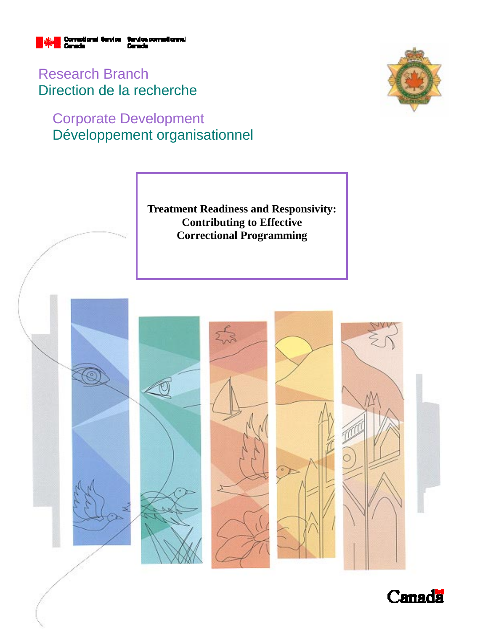

Research Branch Direction de la recherche

# Corporate Development Développement organisationnel



**Treatment Readiness and Responsivity: Contributing to Effective Correctional Programming** 



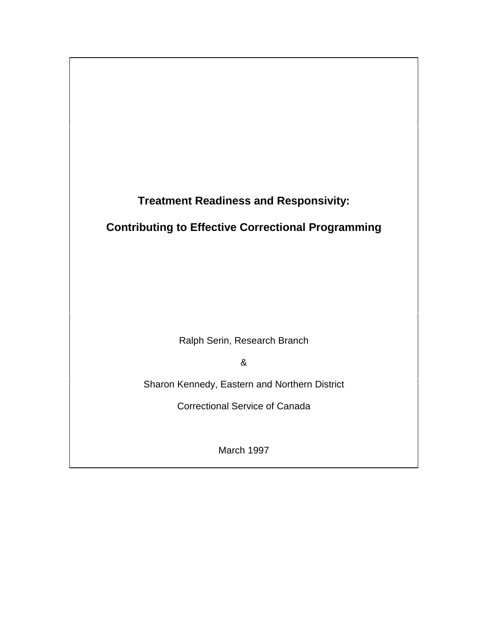

# **Contributing to Effective Correctional Programming**

Ralph Serin, Research Branch

&

Sharon Kennedy, Eastern and Northern District

Correctional Service of Canada

March 1997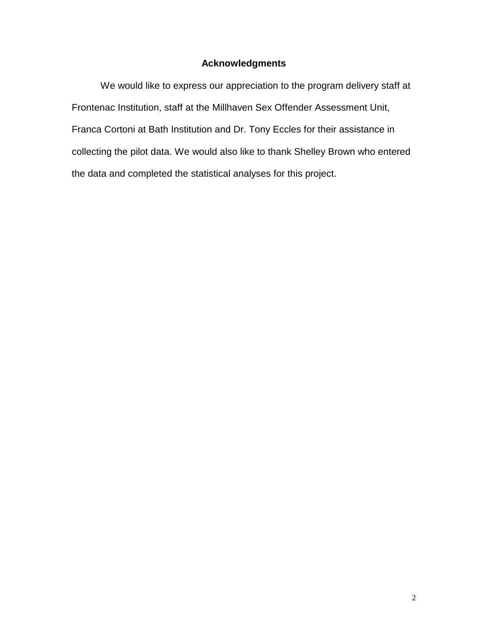### **Acknowledgments**

We would like to express our appreciation to the program delivery staff at Frontenac Institution, staff at the Millhaven Sex Offender Assessment Unit, Franca Cortoni at Bath Institution and Dr. Tony Eccles for their assistance in collecting the pilot data. We would also like to thank Shelley Brown who entered the data and completed the statistical analyses for this project.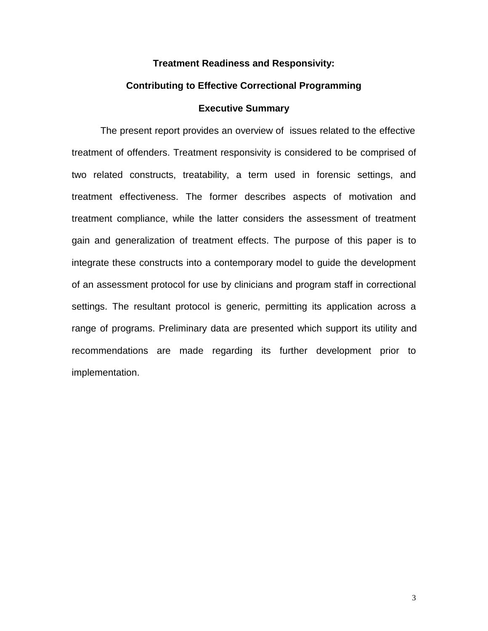#### **Treatment Readiness and Responsivity:**

#### **Contributing to Effective Correctional Programming**

#### **Executive Summary**

The present report provides an overview of issues related to the effective treatment of offenders. Treatment responsivity is considered to be comprised of two related constructs, treatability, a term used in forensic settings, and treatment effectiveness. The former describes aspects of motivation and treatment compliance, while the latter considers the assessment of treatment gain and generalization of treatment effects. The purpose of this paper is to integrate these constructs into a contemporary model to guide the development of an assessment protocol for use by clinicians and program staff in correctional settings. The resultant protocol is generic, permitting its application across a range of programs. Preliminary data are presented which support its utility and recommendations are made regarding its further development prior to implementation.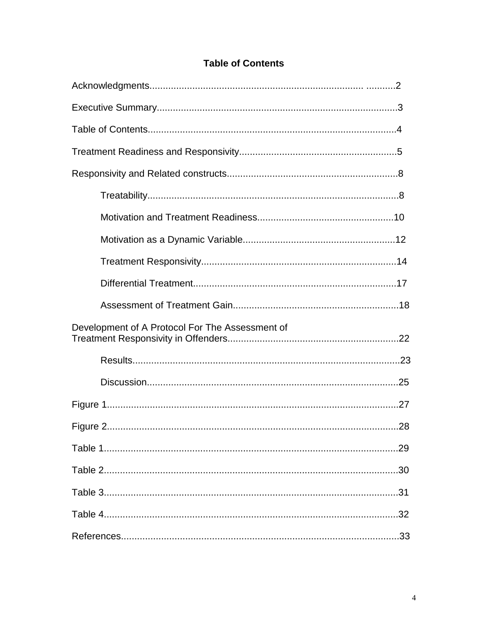### **Table of Contents**

| Development of A Protocol For The Assessment of |
|-------------------------------------------------|
|                                                 |
|                                                 |
|                                                 |
|                                                 |
|                                                 |
|                                                 |
|                                                 |
|                                                 |
|                                                 |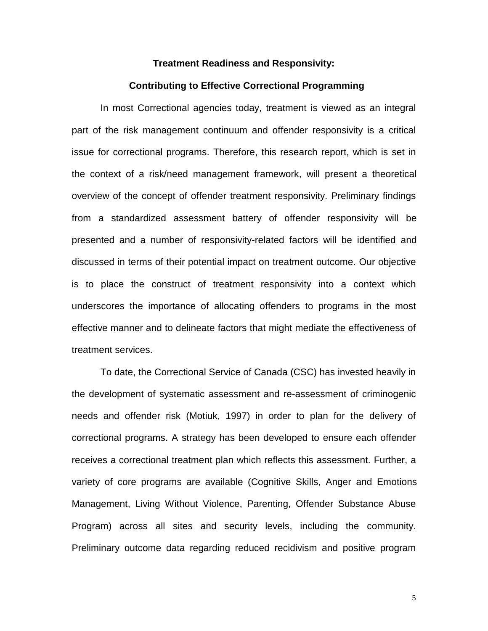#### **Treatment Readiness and Responsivity:**

#### **Contributing to Effective Correctional Programming**

In most Correctional agencies today, treatment is viewed as an integral part of the risk management continuum and offender responsivity is a critical issue for correctional programs. Therefore, this research report, which is set in the context of a risk/need management framework, will present a theoretical overview of the concept of offender treatment responsivity. Preliminary findings from a standardized assessment battery of offender responsivity will be presented and a number of responsivity-related factors will be identified and discussed in terms of their potential impact on treatment outcome. Our objective is to place the construct of treatment responsivity into a context which underscores the importance of allocating offenders to programs in the most effective manner and to delineate factors that might mediate the effectiveness of treatment services.

To date, the Correctional Service of Canada (CSC) has invested heavily in the development of systematic assessment and re-assessment of criminogenic needs and offender risk (Motiuk, 1997) in order to plan for the delivery of correctional programs. A strategy has been developed to ensure each offender receives a correctional treatment plan which reflects this assessment. Further, a variety of core programs are available (Cognitive Skills, Anger and Emotions Management, Living Without Violence, Parenting, Offender Substance Abuse Program) across all sites and security levels, including the community. Preliminary outcome data regarding reduced recidivism and positive program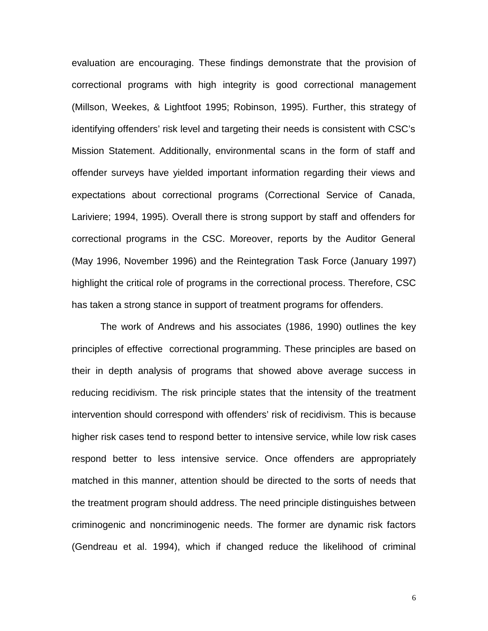evaluation are encouraging. These findings demonstrate that the provision of correctional programs with high integrity is good correctional management (Millson, Weekes, & Lightfoot 1995; Robinson, 1995). Further, this strategy of identifying offenders' risk level and targeting their needs is consistent with CSC's Mission Statement. Additionally, environmental scans in the form of staff and offender surveys have yielded important information regarding their views and expectations about correctional programs (Correctional Service of Canada, Lariviere; 1994, 1995). Overall there is strong support by staff and offenders for correctional programs in the CSC. Moreover, reports by the Auditor General (May 1996, November 1996) and the Reintegration Task Force (January 1997) highlight the critical role of programs in the correctional process. Therefore, CSC has taken a strong stance in support of treatment programs for offenders.

The work of Andrews and his associates (1986, 1990) outlines the key principles of effective correctional programming. These principles are based on their in depth analysis of programs that showed above average success in reducing recidivism. The risk principle states that the intensity of the treatment intervention should correspond with offenders' risk of recidivism. This is because higher risk cases tend to respond better to intensive service, while low risk cases respond better to less intensive service. Once offenders are appropriately matched in this manner, attention should be directed to the sorts of needs that the treatment program should address. The need principle distinguishes between criminogenic and noncriminogenic needs. The former are dynamic risk factors (Gendreau et al. 1994), which if changed reduce the likelihood of criminal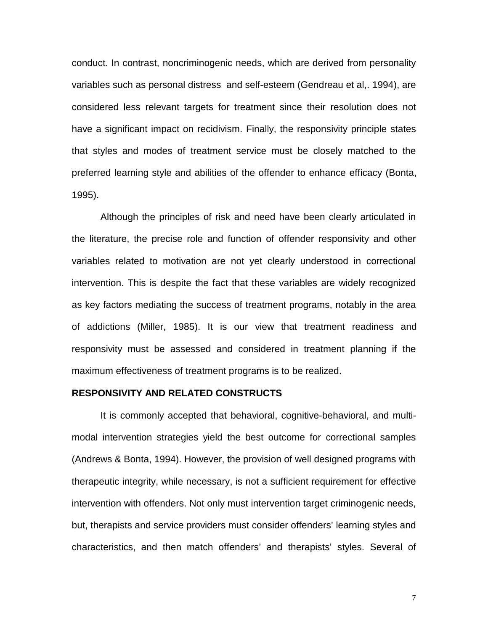conduct. In contrast, noncriminogenic needs, which are derived from personality variables such as personal distress and self-esteem (Gendreau et al,. 1994), are considered less relevant targets for treatment since their resolution does not have a significant impact on recidivism. Finally, the responsivity principle states that styles and modes of treatment service must be closely matched to the preferred learning style and abilities of the offender to enhance efficacy (Bonta, 1995).

Although the principles of risk and need have been clearly articulated in the literature, the precise role and function of offender responsivity and other variables related to motivation are not yet clearly understood in correctional intervention. This is despite the fact that these variables are widely recognized as key factors mediating the success of treatment programs, notably in the area of addictions (Miller, 1985). It is our view that treatment readiness and responsivity must be assessed and considered in treatment planning if the maximum effectiveness of treatment programs is to be realized.

#### **RESPONSIVITY AND RELATED CONSTRUCTS**

It is commonly accepted that behavioral, cognitive-behavioral, and multimodal intervention strategies yield the best outcome for correctional samples (Andrews & Bonta, 1994). However, the provision of well designed programs with therapeutic integrity, while necessary, is not a sufficient requirement for effective intervention with offenders. Not only must intervention target criminogenic needs, but, therapists and service providers must consider offenders' learning styles and characteristics, and then match offenders' and therapists' styles. Several of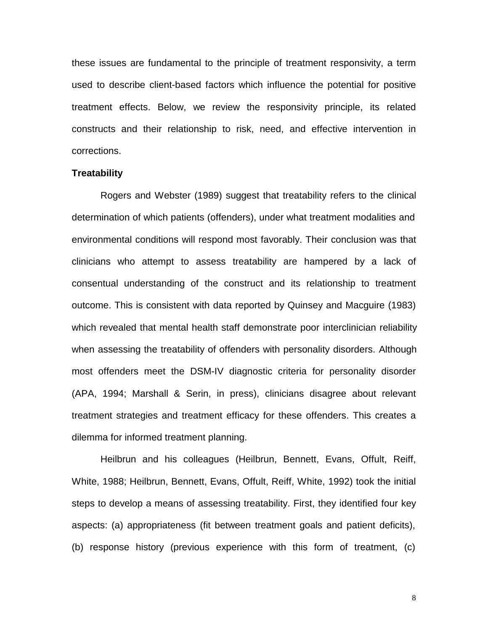these issues are fundamental to the principle of treatment responsivity, a term used to describe client-based factors which influence the potential for positive treatment effects. Below, we review the responsivity principle, its related constructs and their relationship to risk, need, and effective intervention in corrections.

#### **Treatability**

Rogers and Webster (1989) suggest that treatability refers to the clinical determination of which patients (offenders), under what treatment modalities and environmental conditions will respond most favorably. Their conclusion was that clinicians who attempt to assess treatability are hampered by a lack of consentual understanding of the construct and its relationship to treatment outcome. This is consistent with data reported by Quinsey and Macguire (1983) which revealed that mental health staff demonstrate poor interclinician reliability when assessing the treatability of offenders with personality disorders. Although most offenders meet the DSM-IV diagnostic criteria for personality disorder (APA, 1994; Marshall & Serin, in press), clinicians disagree about relevant treatment strategies and treatment efficacy for these offenders. This creates a dilemma for informed treatment planning.

Heilbrun and his colleagues (Heilbrun, Bennett, Evans, Offult, Reiff, White, 1988; Heilbrun, Bennett, Evans, Offult, Reiff, White, 1992) took the initial steps to develop a means of assessing treatability. First, they identified four key aspects: (a) appropriateness (fit between treatment goals and patient deficits), (b) response history (previous experience with this form of treatment, (c)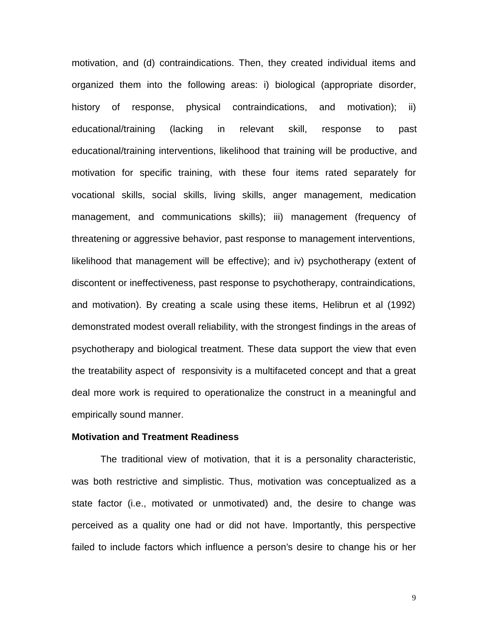motivation, and (d) contraindications. Then, they created individual items and organized them into the following areas: i) biological (appropriate disorder, history of response, physical contraindications, and motivation); ii) educational/training (lacking in relevant skill, response to past educational/training interventions, likelihood that training will be productive, and motivation for specific training, with these four items rated separately for vocational skills, social skills, living skills, anger management, medication management, and communications skills); iii) management (frequency of threatening or aggressive behavior, past response to management interventions, likelihood that management will be effective); and iv) psychotherapy (extent of discontent or ineffectiveness, past response to psychotherapy, contraindications, and motivation). By creating a scale using these items, Helibrun et al (1992) demonstrated modest overall reliability, with the strongest findings in the areas of psychotherapy and biological treatment. These data support the view that even the treatability aspect of responsivity is a multifaceted concept and that a great deal more work is required to operationalize the construct in a meaningful and empirically sound manner.

#### **Motivation and Treatment Readiness**

The traditional view of motivation, that it is a personality characteristic, was both restrictive and simplistic. Thus, motivation was conceptualized as a state factor (i.e., motivated or unmotivated) and, the desire to change was perceived as a quality one had or did not have. Importantly, this perspective failed to include factors which influence a person's desire to change his or her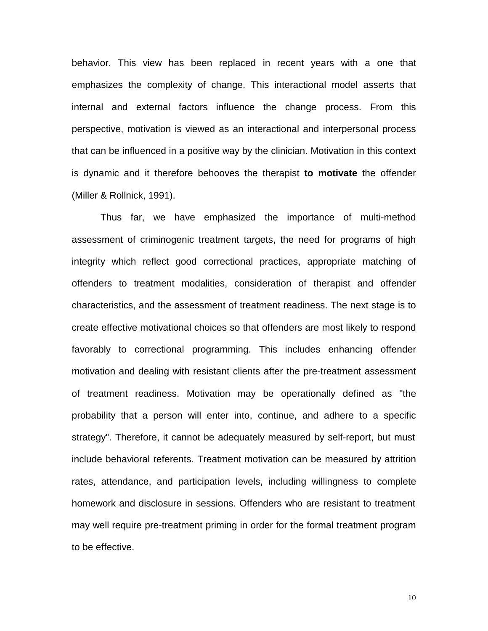behavior. This view has been replaced in recent years with a one that emphasizes the complexity of change. This interactional model asserts that internal and external factors influence the change process. From this perspective, motivation is viewed as an interactional and interpersonal process that can be influenced in a positive way by the clinician. Motivation in this context is dynamic and it therefore behooves the therapist **to motivate** the offender (Miller & Rollnick, 1991).

Thus far, we have emphasized the importance of multi-method assessment of criminogenic treatment targets, the need for programs of high integrity which reflect good correctional practices, appropriate matching of offenders to treatment modalities, consideration of therapist and offender characteristics, and the assessment of treatment readiness. The next stage is to create effective motivational choices so that offenders are most likely to respond favorably to correctional programming. This includes enhancing offender motivation and dealing with resistant clients after the pre-treatment assessment of treatment readiness. Motivation may be operationally defined as "the probability that a person will enter into, continue, and adhere to a specific strategy". Therefore, it cannot be adequately measured by self-report, but must include behavioral referents. Treatment motivation can be measured by attrition rates, attendance, and participation levels, including willingness to complete homework and disclosure in sessions. Offenders who are resistant to treatment may well require pre-treatment priming in order for the formal treatment program to be effective.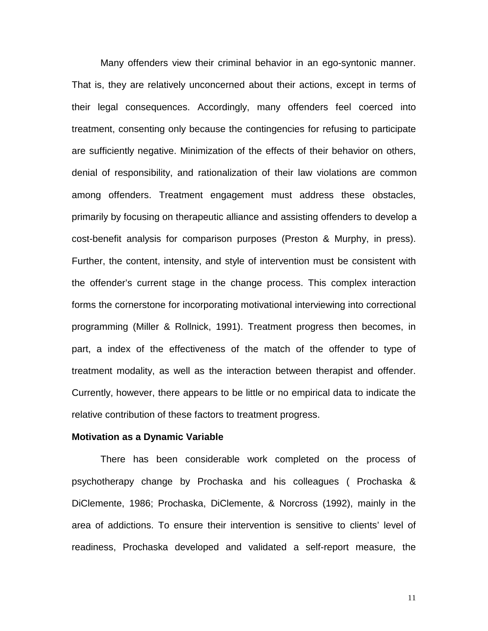Many offenders view their criminal behavior in an ego-syntonic manner. That is, they are relatively unconcerned about their actions, except in terms of their legal consequences. Accordingly, many offenders feel coerced into treatment, consenting only because the contingencies for refusing to participate are sufficiently negative. Minimization of the effects of their behavior on others, denial of responsibility, and rationalization of their law violations are common among offenders. Treatment engagement must address these obstacles, primarily by focusing on therapeutic alliance and assisting offenders to develop a cost-benefit analysis for comparison purposes (Preston & Murphy, in press). Further, the content, intensity, and style of intervention must be consistent with the offender's current stage in the change process. This complex interaction forms the cornerstone for incorporating motivational interviewing into correctional programming (Miller & Rollnick, 1991). Treatment progress then becomes, in part, a index of the effectiveness of the match of the offender to type of treatment modality, as well as the interaction between therapist and offender. Currently, however, there appears to be little or no empirical data to indicate the relative contribution of these factors to treatment progress.

#### **Motivation as a Dynamic Variable**

There has been considerable work completed on the process of psychotherapy change by Prochaska and his colleagues ( Prochaska & DiClemente, 1986; Prochaska, DiClemente, & Norcross (1992), mainly in the area of addictions. To ensure their intervention is sensitive to clients' level of readiness, Prochaska developed and validated a self-report measure, the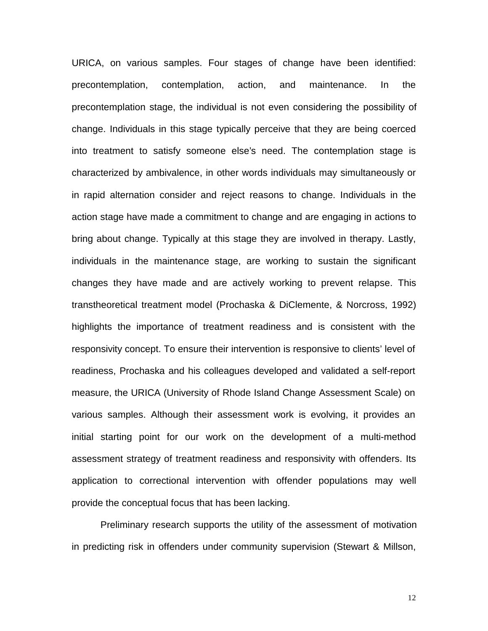URICA, on various samples. Four stages of change have been identified: precontemplation, contemplation, action, and maintenance. In the precontemplation stage, the individual is not even considering the possibility of change. Individuals in this stage typically perceive that they are being coerced into treatment to satisfy someone else's need. The contemplation stage is characterized by ambivalence, in other words individuals may simultaneously or in rapid alternation consider and reject reasons to change. Individuals in the action stage have made a commitment to change and are engaging in actions to bring about change. Typically at this stage they are involved in therapy. Lastly, individuals in the maintenance stage, are working to sustain the significant changes they have made and are actively working to prevent relapse. This transtheoretical treatment model (Prochaska & DiClemente, & Norcross, 1992) highlights the importance of treatment readiness and is consistent with the responsivity concept. To ensure their intervention is responsive to clients' level of readiness, Prochaska and his colleagues developed and validated a self-report measure, the URICA (University of Rhode Island Change Assessment Scale) on various samples. Although their assessment work is evolving, it provides an initial starting point for our work on the development of a multi-method assessment strategy of treatment readiness and responsivity with offenders. Its application to correctional intervention with offender populations may well provide the conceptual focus that has been lacking.

Preliminary research supports the utility of the assessment of motivation in predicting risk in offenders under community supervision (Stewart & Millson,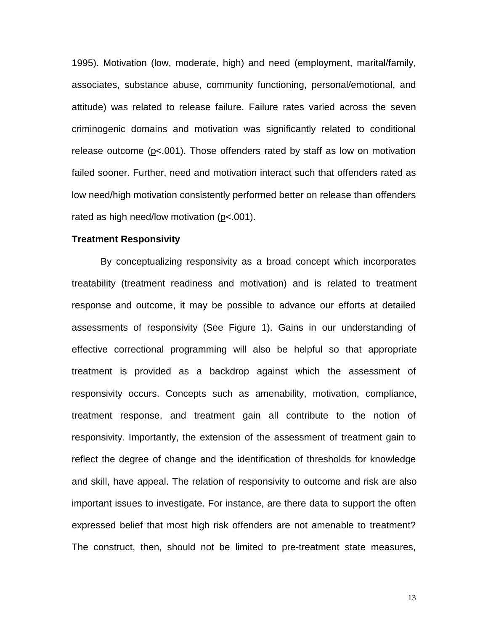1995). Motivation (low, moderate, high) and need (employment, marital/family, associates, substance abuse, community functioning, personal/emotional, and attitude) was related to release failure. Failure rates varied across the seven criminogenic domains and motivation was significantly related to conditional release outcome (p<.001). Those offenders rated by staff as low on motivation failed sooner. Further, need and motivation interact such that offenders rated as low need/high motivation consistently performed better on release than offenders rated as high need/low motivation (p<.001).

#### **Treatment Responsivity**

By conceptualizing responsivity as a broad concept which incorporates treatability (treatment readiness and motivation) and is related to treatment response and outcome, it may be possible to advance our efforts at detailed assessments of responsivity (See Figure 1). Gains in our understanding of effective correctional programming will also be helpful so that appropriate treatment is provided as a backdrop against which the assessment of responsivity occurs. Concepts such as amenability, motivation, compliance, treatment response, and treatment gain all contribute to the notion of responsivity. Importantly, the extension of the assessment of treatment gain to reflect the degree of change and the identification of thresholds for knowledge and skill, have appeal. The relation of responsivity to outcome and risk are also important issues to investigate. For instance, are there data to support the often expressed belief that most high risk offenders are not amenable to treatment? The construct, then, should not be limited to pre-treatment state measures,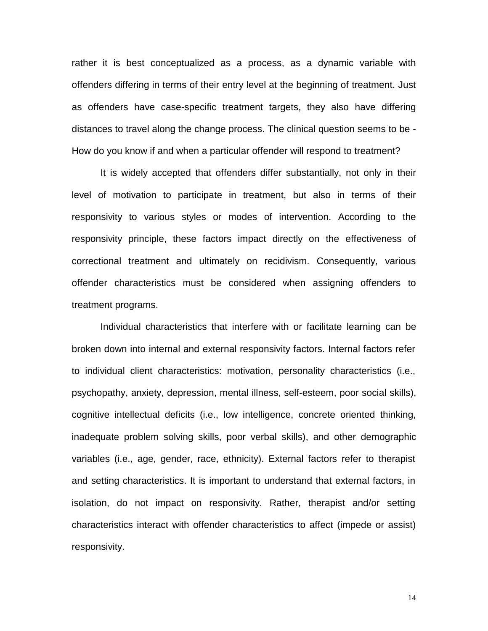rather it is best conceptualized as a process, as a dynamic variable with offenders differing in terms of their entry level at the beginning of treatment. Just as offenders have case-specific treatment targets, they also have differing distances to travel along the change process. The clinical question seems to be - How do you know if and when a particular offender will respond to treatment?

It is widely accepted that offenders differ substantially, not only in their level of motivation to participate in treatment, but also in terms of their responsivity to various styles or modes of intervention. According to the responsivity principle, these factors impact directly on the effectiveness of correctional treatment and ultimately on recidivism. Consequently, various offender characteristics must be considered when assigning offenders to treatment programs.

Individual characteristics that interfere with or facilitate learning can be broken down into internal and external responsivity factors. Internal factors refer to individual client characteristics: motivation, personality characteristics (i.e., psychopathy, anxiety, depression, mental illness, self-esteem, poor social skills), cognitive intellectual deficits (i.e., low intelligence, concrete oriented thinking, inadequate problem solving skills, poor verbal skills), and other demographic variables (i.e., age, gender, race, ethnicity). External factors refer to therapist and setting characteristics. It is important to understand that external factors, in isolation, do not impact on responsivity. Rather, therapist and/or setting characteristics interact with offender characteristics to affect (impede or assist) responsivity.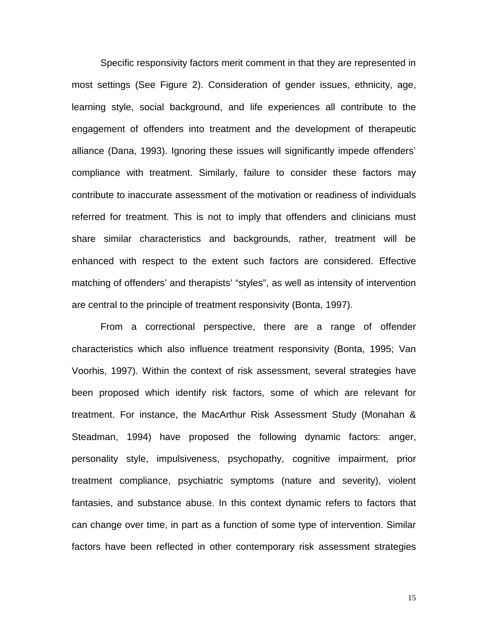Specific responsivity factors merit comment in that they are represented in most settings (See Figure 2). Consideration of gender issues, ethnicity, age, learning style, social background, and life experiences all contribute to the engagement of offenders into treatment and the development of therapeutic alliance (Dana, 1993). Ignoring these issues will significantly impede offenders' compliance with treatment. Similarly, failure to consider these factors may contribute to inaccurate assessment of the motivation or readiness of individuals referred for treatment. This is not to imply that offenders and clinicians must share similar characteristics and backgrounds, rather, treatment will be enhanced with respect to the extent such factors are considered. Effective matching of offenders' and therapists' "styles", as well as intensity of intervention are central to the principle of treatment responsivity (Bonta, 1997).

From a correctional perspective, there are a range of offender characteristics which also influence treatment responsivity (Bonta, 1995; Van Voorhis, 1997). Within the context of risk assessment, several strategies have been proposed which identify risk factors, some of which are relevant for treatment. For instance, the MacArthur Risk Assessment Study (Monahan & Steadman, 1994) have proposed the following dynamic factors: anger, personality style, impulsiveness, psychopathy, cognitive impairment, prior treatment compliance, psychiatric symptoms (nature and severity), violent fantasies, and substance abuse. In this context dynamic refers to factors that can change over time, in part as a function of some type of intervention. Similar factors have been reflected in other contemporary risk assessment strategies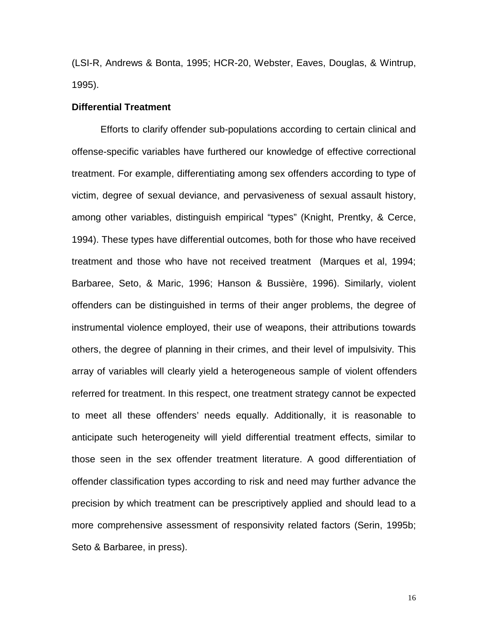(LSI-R, Andrews & Bonta, 1995; HCR-20, Webster, Eaves, Douglas, & Wintrup, 1995).

#### **Differential Treatment**

Efforts to clarify offender sub-populations according to certain clinical and offense-specific variables have furthered our knowledge of effective correctional treatment. For example, differentiating among sex offenders according to type of victim, degree of sexual deviance, and pervasiveness of sexual assault history, among other variables, distinguish empirical "types" (Knight, Prentky, & Cerce, 1994). These types have differential outcomes, both for those who have received treatment and those who have not received treatment (Marques et al, 1994; Barbaree, Seto, & Maric, 1996; Hanson & Bussière, 1996). Similarly, violent offenders can be distinguished in terms of their anger problems, the degree of instrumental violence employed, their use of weapons, their attributions towards others, the degree of planning in their crimes, and their level of impulsivity. This array of variables will clearly yield a heterogeneous sample of violent offenders referred for treatment. In this respect, one treatment strategy cannot be expected to meet all these offenders' needs equally. Additionally, it is reasonable to anticipate such heterogeneity will yield differential treatment effects, similar to those seen in the sex offender treatment literature. A good differentiation of offender classification types according to risk and need may further advance the precision by which treatment can be prescriptively applied and should lead to a more comprehensive assessment of responsivity related factors (Serin, 1995b; Seto & Barbaree, in press).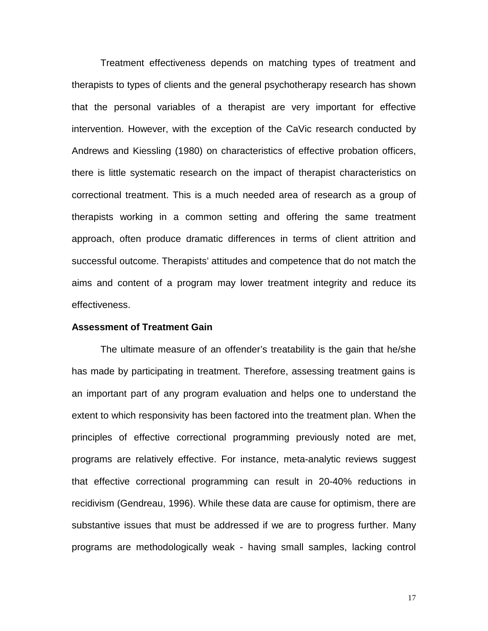Treatment effectiveness depends on matching types of treatment and therapists to types of clients and the general psychotherapy research has shown that the personal variables of a therapist are very important for effective intervention. However, with the exception of the CaVic research conducted by Andrews and Kiessling (1980) on characteristics of effective probation officers, there is little systematic research on the impact of therapist characteristics on correctional treatment. This is a much needed area of research as a group of therapists working in a common setting and offering the same treatment approach, often produce dramatic differences in terms of client attrition and successful outcome. Therapists' attitudes and competence that do not match the aims and content of a program may lower treatment integrity and reduce its effectiveness.

#### **Assessment of Treatment Gain**

The ultimate measure of an offender's treatability is the gain that he/she has made by participating in treatment. Therefore, assessing treatment gains is an important part of any program evaluation and helps one to understand the extent to which responsivity has been factored into the treatment plan. When the principles of effective correctional programming previously noted are met, programs are relatively effective. For instance, meta-analytic reviews suggest that effective correctional programming can result in 20-40% reductions in recidivism (Gendreau, 1996). While these data are cause for optimism, there are substantive issues that must be addressed if we are to progress further. Many programs are methodologically weak - having small samples, lacking control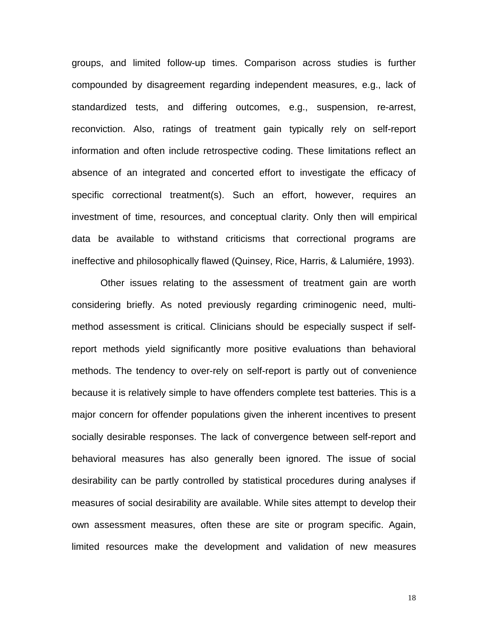groups, and limited follow-up times. Comparison across studies is further compounded by disagreement regarding independent measures, e.g., lack of standardized tests, and differing outcomes, e.g., suspension, re-arrest, reconviction. Also, ratings of treatment gain typically rely on self-report information and often include retrospective coding. These limitations reflect an absence of an integrated and concerted effort to investigate the efficacy of specific correctional treatment(s). Such an effort, however, requires an investment of time, resources, and conceptual clarity. Only then will empirical data be available to withstand criticisms that correctional programs are ineffective and philosophically flawed (Quinsey, Rice, Harris, & Lalumiére, 1993).

Other issues relating to the assessment of treatment gain are worth considering briefly. As noted previously regarding criminogenic need, multimethod assessment is critical. Clinicians should be especially suspect if selfreport methods yield significantly more positive evaluations than behavioral methods. The tendency to over-rely on self-report is partly out of convenience because it is relatively simple to have offenders complete test batteries. This is a major concern for offender populations given the inherent incentives to present socially desirable responses. The lack of convergence between self-report and behavioral measures has also generally been ignored. The issue of social desirability can be partly controlled by statistical procedures during analyses if measures of social desirability are available. While sites attempt to develop their own assessment measures, often these are site or program specific. Again, limited resources make the development and validation of new measures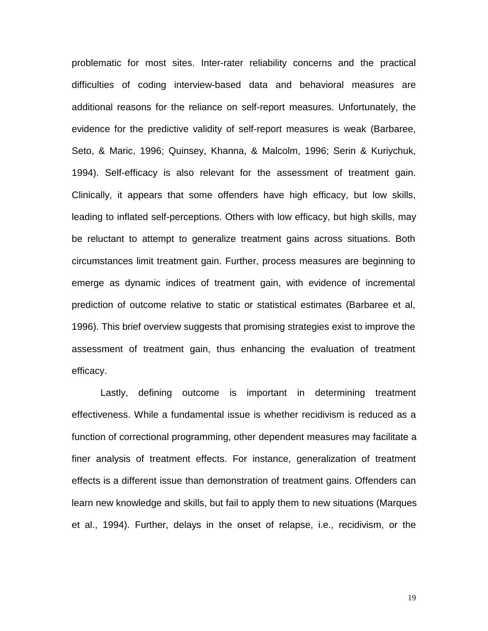problematic for most sites. Inter-rater reliability concerns and the practical difficulties of coding interview-based data and behavioral measures are additional reasons for the reliance on self-report measures. Unfortunately, the evidence for the predictive validity of self-report measures is weak (Barbaree, Seto, & Maric, 1996; Quinsey, Khanna, & Malcolm, 1996; Serin & Kuriychuk, 1994). Self-efficacy is also relevant for the assessment of treatment gain. Clinically, it appears that some offenders have high efficacy, but low skills, leading to inflated self-perceptions. Others with low efficacy, but high skills, may be reluctant to attempt to generalize treatment gains across situations. Both circumstances limit treatment gain. Further, process measures are beginning to emerge as dynamic indices of treatment gain, with evidence of incremental prediction of outcome relative to static or statistical estimates (Barbaree et al, 1996). This brief overview suggests that promising strategies exist to improve the assessment of treatment gain, thus enhancing the evaluation of treatment efficacy.

Lastly, defining outcome is important in determining treatment effectiveness. While a fundamental issue is whether recidivism is reduced as a function of correctional programming, other dependent measures may facilitate a finer analysis of treatment effects. For instance, generalization of treatment effects is a different issue than demonstration of treatment gains. Offenders can learn new knowledge and skills, but fail to apply them to new situations (Marques et al., 1994). Further, delays in the onset of relapse, i.e., recidivism, or the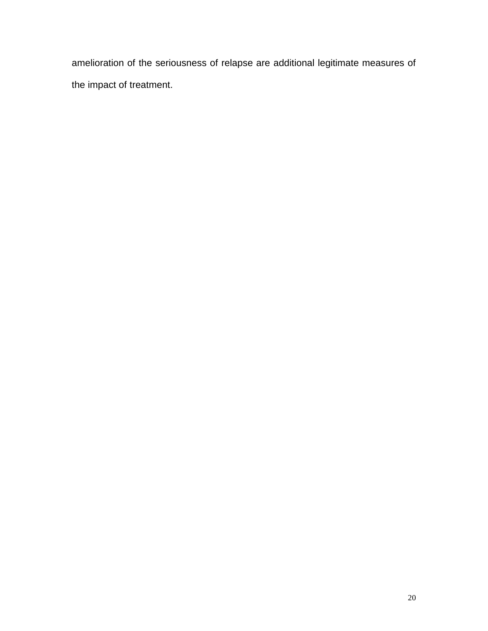amelioration of the seriousness of relapse are additional legitimate measures of the impact of treatment.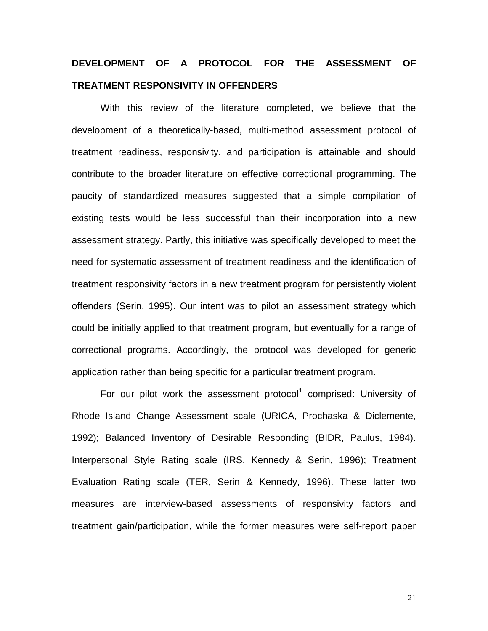# **DEVELOPMENT OF A PROTOCOL FOR THE ASSESSMENT OF TREATMENT RESPONSIVITY IN OFFENDERS**

With this review of the literature completed, we believe that the development of a theoretically-based, multi-method assessment protocol of treatment readiness, responsivity, and participation is attainable and should contribute to the broader literature on effective correctional programming. The paucity of standardized measures suggested that a simple compilation of existing tests would be less successful than their incorporation into a new assessment strategy. Partly, this initiative was specifically developed to meet the need for systematic assessment of treatment readiness and the identification of treatment responsivity factors in a new treatment program for persistently violent offenders (Serin, 1995). Our intent was to pilot an assessment strategy which could be initially applied to that treatment program, but eventually for a range of correctional programs. Accordingly, the protocol was developed for generic application rather than being specific for a particular treatment program.

For our pilot work the assessment protocol<sup>1</sup> comprised: University of Rhode Island Change Assessment scale (URICA, Prochaska & Diclemente, 1992); Balanced Inventory of Desirable Responding (BIDR, Paulus, 1984). Interpersonal Style Rating scale (IRS, Kennedy & Serin, 1996); Treatment Evaluation Rating scale (TER, Serin & Kennedy, 1996). These latter two measures are interview-based assessments of responsivity factors and treatment gain/participation, while the former measures were self-report paper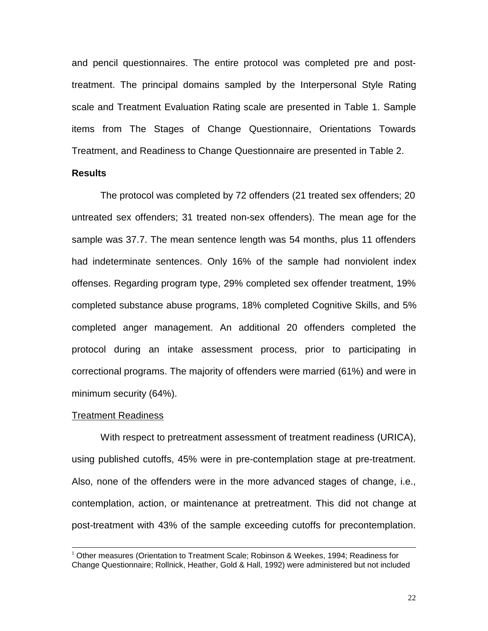and pencil questionnaires. The entire protocol was completed pre and posttreatment. The principal domains sampled by the Interpersonal Style Rating scale and Treatment Evaluation Rating scale are presented in Table 1. Sample items from The Stages of Change Questionnaire, Orientations Towards Treatment, and Readiness to Change Questionnaire are presented in Table 2.

#### **Results**

The protocol was completed by 72 offenders (21 treated sex offenders; 20 untreated sex offenders; 31 treated non-sex offenders). The mean age for the sample was 37.7. The mean sentence length was 54 months, plus 11 offenders had indeterminate sentences. Only 16% of the sample had nonviolent index offenses. Regarding program type, 29% completed sex offender treatment, 19% completed substance abuse programs, 18% completed Cognitive Skills, and 5% completed anger management. An additional 20 offenders completed the protocol during an intake assessment process, prior to participating in correctional programs. The majority of offenders were married (61%) and were in minimum security (64%).

#### Treatment Readiness

With respect to pretreatment assessment of treatment readiness (URICA), using published cutoffs, 45% were in pre-contemplation stage at pre-treatment. Also, none of the offenders were in the more advanced stages of change, i.e., contemplation, action, or maintenance at pretreatment. This did not change at post-treatment with 43% of the sample exceeding cutoffs for precontemplation.

<sup>&</sup>lt;sup>1</sup> Other measures (Orientation to Treatment Scale; Robinson & Weekes, 1994; Readiness for Change Questionnaire; Rollnick, Heather, Gold & Hall, 1992) were administered but not included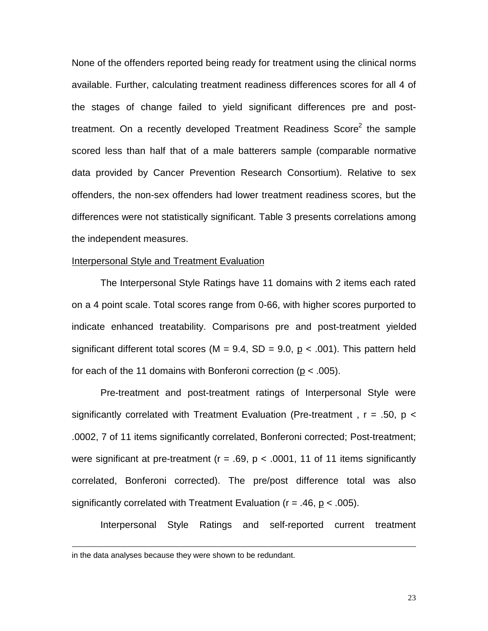None of the offenders reported being ready for treatment using the clinical norms available. Further, calculating treatment readiness differences scores for all 4 of the stages of change failed to yield significant differences pre and posttreatment. On a recently developed Treatment Readiness Score<sup>2</sup> the sample scored less than half that of a male batterers sample (comparable normative data provided by Cancer Prevention Research Consortium). Relative to sex offenders, the non-sex offenders had lower treatment readiness scores, but the differences were not statistically significant. Table 3 presents correlations among the independent measures.

#### Interpersonal Style and Treatment Evaluation

The Interpersonal Style Ratings have 11 domains with 2 items each rated on a 4 point scale. Total scores range from 0-66, with higher scores purported to indicate enhanced treatability. Comparisons pre and post-treatment yielded significant different total scores (M =  $9.4$ , SD =  $9.0$ , p <  $.001$ ). This pattern held for each of the 11 domains with Bonferoni correction ( $p < .005$ ).

Pre-treatment and post-treatment ratings of Interpersonal Style were significantly correlated with Treatment Evaluation (Pre-treatment,  $r = .50$ ,  $p <$ .0002, 7 of 11 items significantly correlated, Bonferoni corrected; Post-treatment; were significant at pre-treatment ( $r = .69$ ,  $p < .0001$ , 11 of 11 items significantly correlated, Bonferoni corrected). The pre/post difference total was also significantly correlated with Treatment Evaluation ( $r = .46$ ,  $p < .005$ ).

Interpersonal Style Ratings and self-reported current treatment

 $\overline{a}$ 

in the data analyses because they were shown to be redundant.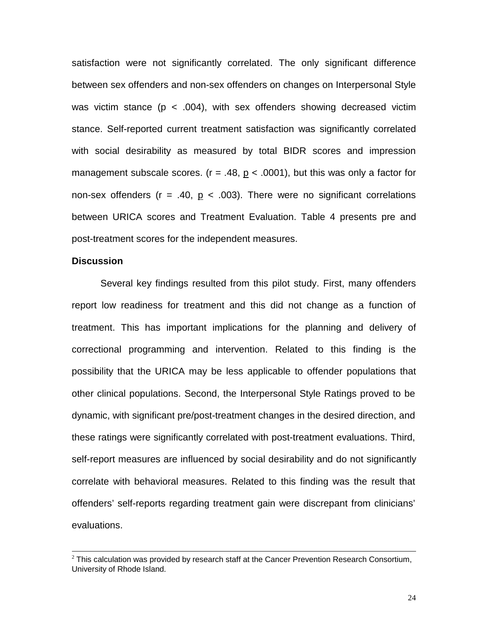satisfaction were not significantly correlated. The only significant difference between sex offenders and non-sex offenders on changes on Interpersonal Style was victim stance ( $p < .004$ ), with sex offenders showing decreased victim stance. Self-reported current treatment satisfaction was significantly correlated with social desirability as measured by total BIDR scores and impression management subscale scores. ( $r = .48$ ,  $p < .0001$ ), but this was only a factor for non-sex offenders ( $r = .40$ ,  $p < .003$ ). There were no significant correlations between URICA scores and Treatment Evaluation. Table 4 presents pre and post-treatment scores for the independent measures.

#### **Discussion**

Several key findings resulted from this pilot study. First, many offenders report low readiness for treatment and this did not change as a function of treatment. This has important implications for the planning and delivery of correctional programming and intervention. Related to this finding is the possibility that the URICA may be less applicable to offender populations that other clinical populations. Second, the Interpersonal Style Ratings proved to be dynamic, with significant pre/post-treatment changes in the desired direction, and these ratings were significantly correlated with post-treatment evaluations. Third, self-report measures are influenced by social desirability and do not significantly correlate with behavioral measures. Related to this finding was the result that offenders' self-reports regarding treatment gain were discrepant from clinicians' evaluations.

 $<sup>2</sup>$  This calculation was provided by research staff at the Cancer Prevention Research Consortium,</sup> University of Rhode Island.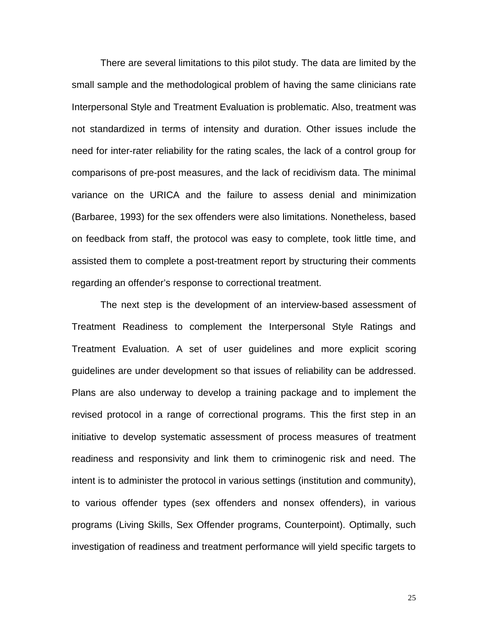There are several limitations to this pilot study. The data are limited by the small sample and the methodological problem of having the same clinicians rate Interpersonal Style and Treatment Evaluation is problematic. Also, treatment was not standardized in terms of intensity and duration. Other issues include the need for inter-rater reliability for the rating scales, the lack of a control group for comparisons of pre-post measures, and the lack of recidivism data. The minimal variance on the URICA and the failure to assess denial and minimization (Barbaree, 1993) for the sex offenders were also limitations. Nonetheless, based on feedback from staff, the protocol was easy to complete, took little time, and assisted them to complete a post-treatment report by structuring their comments regarding an offender's response to correctional treatment.

The next step is the development of an interview-based assessment of Treatment Readiness to complement the Interpersonal Style Ratings and Treatment Evaluation. A set of user guidelines and more explicit scoring guidelines are under development so that issues of reliability can be addressed. Plans are also underway to develop a training package and to implement the revised protocol in a range of correctional programs. This the first step in an initiative to develop systematic assessment of process measures of treatment readiness and responsivity and link them to criminogenic risk and need. The intent is to administer the protocol in various settings (institution and community), to various offender types (sex offenders and nonsex offenders), in various programs (Living Skills, Sex Offender programs, Counterpoint). Optimally, such investigation of readiness and treatment performance will yield specific targets to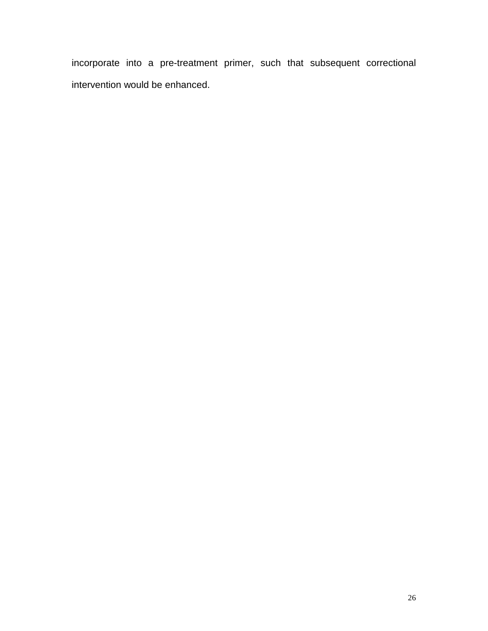incorporate into a pre-treatment primer, such that subsequent correctional intervention would be enhanced.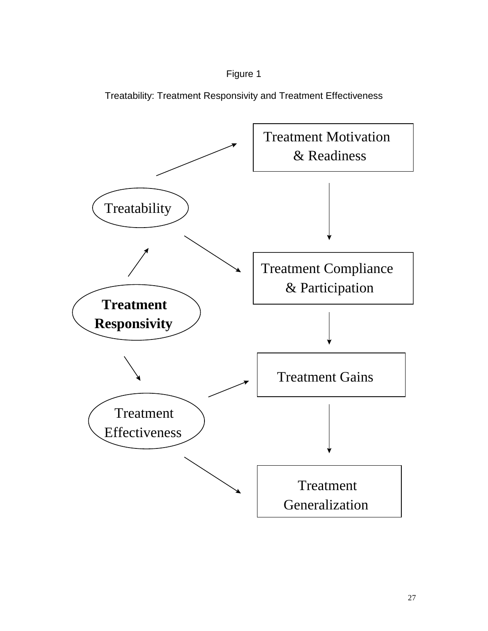

Treatability: Treatment Responsivity and Treatment Effectiveness

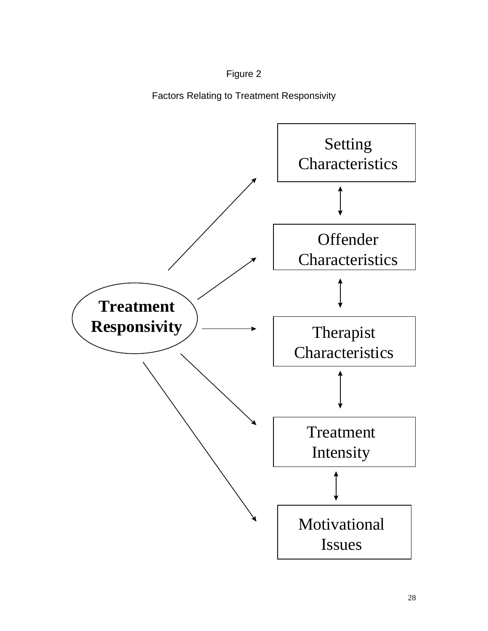

Factors Relating to Treatment Responsivity

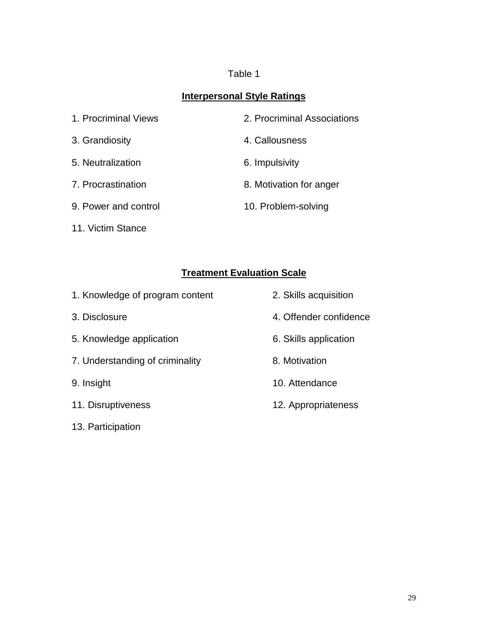## Table 1

### **Interpersonal Style Ratings**

| 1. Procriminal Views | 2. Procriminal Associations |
|----------------------|-----------------------------|
| 3. Grandiosity       | 4. Callousness              |
| 5. Neutralization    | 6. Impulsivity              |
| 7. Procrastination   | 8. Motivation for anger     |
| 9. Power and control | 10. Problem-solving         |
|                      |                             |

11. Victim Stance

# **Treatment Evaluation Scale**

| 1. Knowledge of program content | 2. Skills acquisition  |
|---------------------------------|------------------------|
| 3. Disclosure                   | 4. Offender confidence |
| 5. Knowledge application        | 6. Skills application  |
| 7. Understanding of criminality | 8. Motivation          |
| 9. Insight                      | 10. Attendance         |
| 11. Disruptiveness              | 12. Appropriateness    |
| 13. Participation               |                        |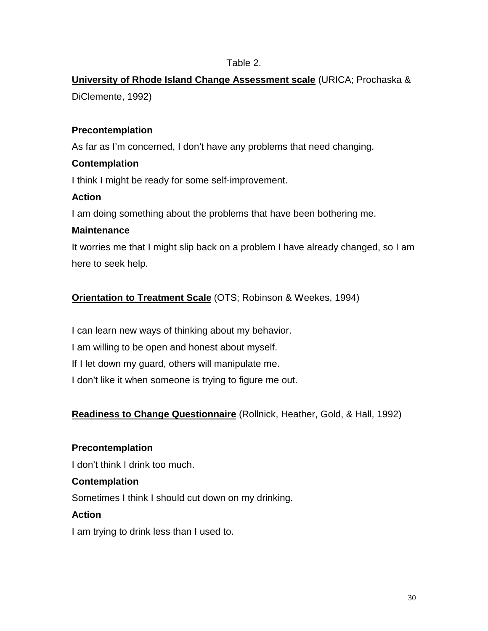### Table 2.

**University of Rhode Island Change Assessment scale** (URICA; Prochaska & DiClemente, 1992)

### **Precontemplation**

As far as I'm concerned, I don't have any problems that need changing.

### **Contemplation**

I think I might be ready for some self-improvement.

### **Action**

I am doing something about the problems that have been bothering me.

### **Maintenance**

It worries me that I might slip back on a problem I have already changed, so I am here to seek help.

### **Orientation to Treatment Scale** (OTS; Robinson & Weekes, 1994)

I can learn new ways of thinking about my behavior. I am willing to be open and honest about myself. If I let down my guard, others will manipulate me. I don't like it when someone is trying to figure me out.

### **Readiness to Change Questionnaire** (Rollnick, Heather, Gold, & Hall, 1992)

## **Precontemplation** I don't think I drink too much.

### **Contemplation**

Sometimes I think I should cut down on my drinking.

### **Action**

I am trying to drink less than I used to.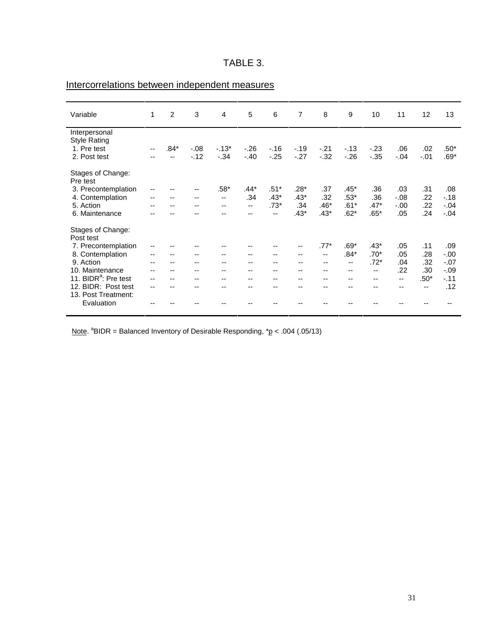| D.<br>HDL. |  |
|------------|--|
|------------|--|

| Variable                         | 1                        | 2    | 3                        | 4       | 5                        | 6      | $\overline{7}$ | 8                        | 9      | 10 <sup>1</sup>          | 11      | 12     | 13     |
|----------------------------------|--------------------------|------|--------------------------|---------|--------------------------|--------|----------------|--------------------------|--------|--------------------------|---------|--------|--------|
| Interpersonal                    |                          |      |                          |         |                          |        |                |                          |        |                          |         |        |        |
| <b>Style Rating</b>              |                          |      |                          |         |                          |        |                |                          |        |                          |         |        |        |
| 1. Pre test                      | $\overline{\phantom{a}}$ | .84* | $-.08$                   | $-.13*$ | $-26$                    | $-.16$ | $-.19$         | $-.21$                   | $-13$  | $-.23$                   | .06     | .02    | $.50*$ |
| 2. Post test                     |                          | --   | $-.12$                   | $-34$   | $-.40$                   | $-25$  | $-.27$         | $-32$                    | $-.26$ | $-0.35$                  | $-.04$  | $-.01$ | $.69*$ |
| Stages of Change:                |                          |      |                          |         |                          |        |                |                          |        |                          |         |        |        |
| Pre test                         |                          |      |                          |         |                          |        |                |                          |        |                          |         |        |        |
| 3. Precontemplation              | --                       |      | --                       | $.58*$  | .44*                     | $.51*$ | .28*           | .37                      | $.45*$ | .36                      | .03     | .31    | .08    |
| 4. Contemplation                 | --                       | --   | --                       | $-$     | .34                      | $.43*$ | $.43*$         | .32                      | $.53*$ | .36                      | $-0.08$ | .22    | $-.18$ |
| 5. Action                        | $-$                      | --   | $\overline{\phantom{a}}$ | --      | $\overline{\phantom{a}}$ | $.73*$ | .34            | $.46*$                   | $.61*$ | $.47*$                   | $-.00$  | .22    | $-.04$ |
| 6. Maintenance                   | --                       |      |                          |         | --                       | $-$    | $.43*$         | $.43*$                   | $.62*$ | $.65*$                   | .05     | .24    | $-.04$ |
| Stages of Change:                |                          |      |                          |         |                          |        |                |                          |        |                          |         |        |        |
| Post test                        |                          |      |                          |         |                          |        |                |                          |        |                          |         |        |        |
| 7. Precontemplation              | --                       |      |                          |         |                          |        | --             | $.77*$                   | $.69*$ | $.43*$                   | .05     | .11    | .09    |
| 8. Contemplation                 | --                       | --   | $-$                      | --      | $\overline{\phantom{a}}$ | $-$    | --             | $\overline{\phantom{a}}$ | $.84*$ | $.70*$                   | .05     | .28    | $-.00$ |
| 9. Action                        | --                       |      | --                       | --      | --                       | --     | --             | $\overline{\phantom{a}}$ | --     | .72*                     | .04     | .32    | $-.07$ |
| 10. Maintenance                  | --                       | --   | $- -$                    | --      | --                       | --     | --             | --                       | $-$    | $\overline{\phantom{a}}$ | .22     | .30    | $-.09$ |
| 11. BIDR <sup>a</sup> : Pre test | --                       | --   | --                       | --      | --                       | --     | $-$            | --                       | --     | $- -$                    | $- -$   | $.50*$ | $-11$  |
| 12. BIDR: Post test              | $-$                      | --   | --                       | --      | --                       | --     | --             | --                       | --     | $- -$                    | --      | --     | .12    |
| 13. Post Treatment:              |                          |      |                          |         |                          |        |                |                          |        |                          |         |        |        |
| Evaluation                       | --                       |      |                          |         |                          |        |                |                          |        |                          |         |        |        |
|                                  |                          |      |                          |         |                          |        |                |                          |        |                          |         |        |        |

# Intercorrelations between independent measures

Note.  ${}^{8}$ BIDR = Balanced Inventory of Desirable Responding,  ${}^{*}$  p < .004 (.05/13)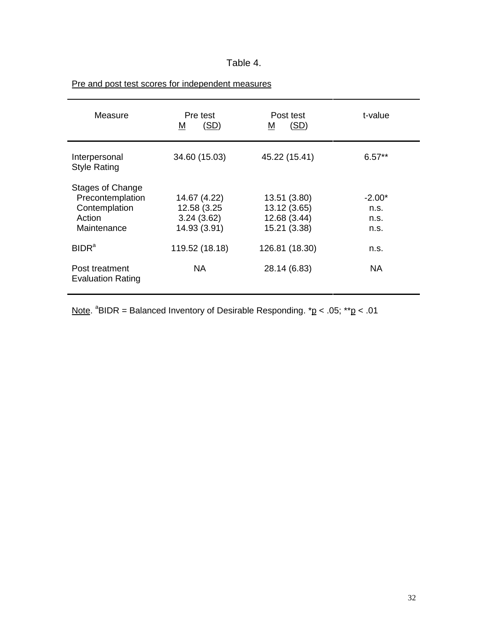### Table 4.

| Measure                                                                               | Pre test<br>(SD)<br>M                                     | Post test<br>(SD)<br>M                                       | t-value                          |
|---------------------------------------------------------------------------------------|-----------------------------------------------------------|--------------------------------------------------------------|----------------------------------|
| Interpersonal<br><b>Style Rating</b>                                                  | 34.60 (15.03)                                             | 45.22 (15.41)                                                | $6.57**$                         |
| <b>Stages of Change</b><br>Precontemplation<br>Contemplation<br>Action<br>Maintenance | 14.67 (4.22)<br>12.58 (3.25<br>3.24(3.62)<br>14.93 (3.91) | 13.51 (3.80)<br>13.12 (3.65)<br>12.68 (3.44)<br>15.21 (3.38) | $-2.00*$<br>n.S.<br>n.s.<br>n.s. |
| BIDR <sup>a</sup>                                                                     | 119.52 (18.18)                                            | 126.81 (18.30)                                               | n.s.                             |
| Post treatment<br><b>Evaluation Rating</b>                                            | NA.                                                       | 28.14 (6.83)                                                 | NA                               |

### Pre and post test scores for independent measures

Note.  ${}^{a}$ BIDR = Balanced Inventory of Desirable Responding.  ${}^{*}$ p < .05;  ${}^{*}$ \*p < .01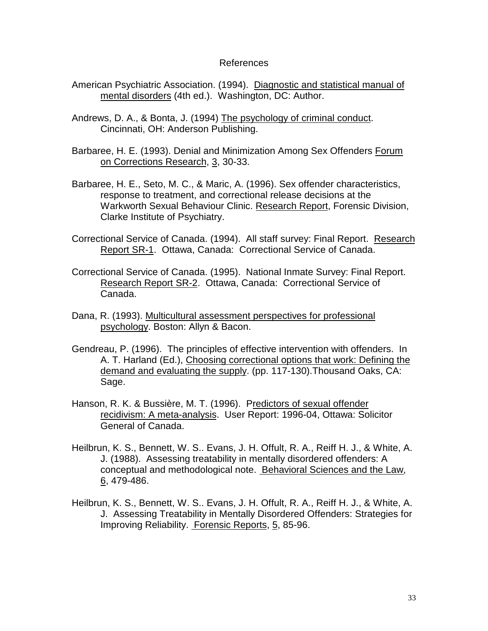#### References

- American Psychiatric Association. (1994). Diagnostic and statistical manual of mental disorders (4th ed.). Washington, DC: Author.
- Andrews, D. A., & Bonta, J. (1994) The psychology of criminal conduct. Cincinnati, OH: Anderson Publishing.
- Barbaree, H. E. (1993). Denial and Minimization Among Sex Offenders Forum on Corrections Research, 3, 30-33.
- Barbaree, H. E., Seto, M. C., & Maric, A. (1996). Sex offender characteristics, response to treatment, and correctional release decisions at the Warkworth Sexual Behaviour Clinic. Research Report, Forensic Division, Clarke Institute of Psychiatry.
- Correctional Service of Canada. (1994). All staff survey: Final Report. Research Report SR-1. Ottawa, Canada: Correctional Service of Canada.
- Correctional Service of Canada. (1995). National Inmate Survey: Final Report. Research Report SR-2. Ottawa, Canada: Correctional Service of Canada.
- Dana, R. (1993). Multicultural assessment perspectives for professional psychology. Boston: Allyn & Bacon.
- Gendreau, P. (1996). The principles of effective intervention with offenders. In A. T. Harland (Ed.), Choosing correctional options that work: Defining the demand and evaluating the supply. (pp. 117-130).Thousand Oaks, CA: Sage.
- Hanson, R. K. & Bussière, M. T. (1996). Predictors of sexual offender recidivism: A meta-analysis. User Report: 1996-04, Ottawa: Solicitor General of Canada.
- Heilbrun, K. S., Bennett, W. S.. Evans, J. H. Offult, R. A., Reiff H. J., & White, A. J. (1988). Assessing treatability in mentally disordered offenders: A conceptual and methodological note. Behavioral Sciences and the Law, 6, 479-486.
- Heilbrun, K. S., Bennett, W. S.. Evans, J. H. Offult, R. A., Reiff H. J., & White, A. J. Assessing Treatability in Mentally Disordered Offenders: Strategies for Improving Reliability. Forensic Reports, 5, 85-96.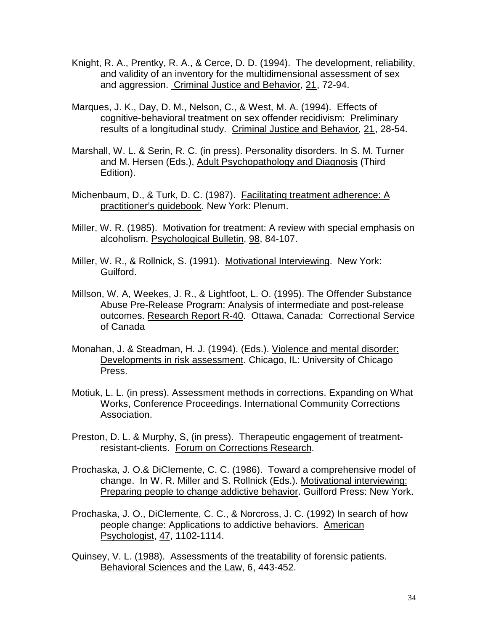- Knight, R. A., Prentky, R. A., & Cerce, D. D. (1994). The development, reliability, and validity of an inventory for the multidimensional assessment of sex and aggression. Criminal Justice and Behavior, 21, 72-94.
- Marques, J. K., Day, D. M., Nelson, C., & West, M. A. (1994). Effects of cognitive-behavioral treatment on sex offender recidivism: Preliminary results of a longitudinal study. Criminal Justice and Behavior, 21, 28-54.
- Marshall, W. L. & Serin, R. C. (in press). Personality disorders. In S. M. Turner and M. Hersen (Eds.), Adult Psychopathology and Diagnosis (Third Edition).
- Michenbaum, D., & Turk, D. C. (1987). Facilitating treatment adherence: A practitioner's guidebook. New York: Plenum.
- Miller, W. R. (1985). Motivation for treatment: A review with special emphasis on alcoholism. Psychological Bulletin, 98, 84-107.
- Miller, W. R., & Rollnick, S. (1991). Motivational Interviewing. New York: Guilford.
- Millson, W. A, Weekes, J. R., & Lightfoot, L. O. (1995). The Offender Substance Abuse Pre-Release Program: Analysis of intermediate and post-release outcomes. Research Report R-40. Ottawa, Canada: Correctional Service of Canada
- Monahan, J. & Steadman, H. J. (1994). (Eds.). Violence and mental disorder: Developments in risk assessment. Chicago, IL: University of Chicago Press.
- Motiuk, L. L. (in press). Assessment methods in corrections. Expanding on What Works, Conference Proceedings. International Community Corrections Association.
- Preston, D. L. & Murphy, S, (in press). Therapeutic engagement of treatmentresistant-clients. Forum on Corrections Research.
- Prochaska, J. O.& DiClemente, C. C. (1986). Toward a comprehensive model of change. In W. R. Miller and S. Rollnick (Eds.). Motivational interviewing: Preparing people to change addictive behavior. Guilford Press: New York.
- Prochaska, J. O., DiClemente, C. C., & Norcross, J. C. (1992) In search of how people change: Applications to addictive behaviors. American Psychologist, 47, 1102-1114.
- Quinsey, V. L. (1988). Assessments of the treatability of forensic patients. Behavioral Sciences and the Law, 6, 443-452.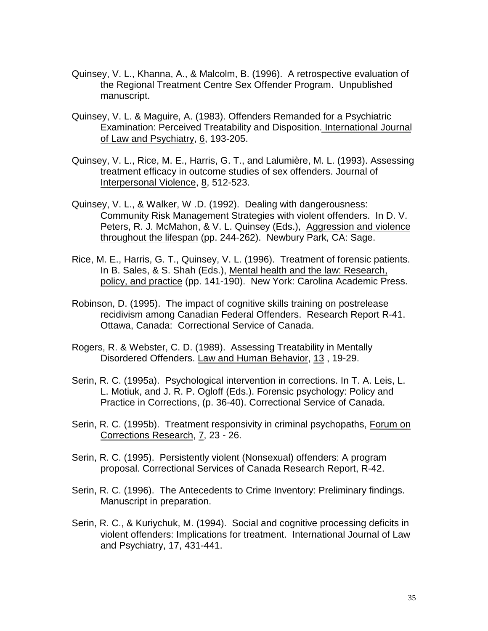- Quinsey, V. L., Khanna, A., & Malcolm, B. (1996). A retrospective evaluation of the Regional Treatment Centre Sex Offender Program. Unpublished manuscript.
- Quinsey, V. L. & Maguire, A. (1983). Offenders Remanded for a Psychiatric Examination: Perceived Treatability and Disposition. International Journal of Law and Psychiatry, 6, 193-205.
- Quinsey, V. L., Rice, M. E., Harris, G. T., and Lalumière, M. L. (1993). Assessing treatment efficacy in outcome studies of sex offenders. Journal of Interpersonal Violence, 8, 512-523.
- Quinsey, V. L., & Walker, W .D. (1992). Dealing with dangerousness: Community Risk Management Strategies with violent offenders. In D. V. Peters, R. J. McMahon, & V. L. Quinsey (Eds.), Aggression and violence throughout the lifespan (pp. 244-262). Newbury Park, CA: Sage.
- Rice, M. E., Harris, G. T., Quinsey, V. L. (1996). Treatment of forensic patients. In B. Sales, & S. Shah (Eds.), Mental health and the law: Research, policy, and practice (pp. 141-190). New York: Carolina Academic Press.
- Robinson, D. (1995). The impact of cognitive skills training on postrelease recidivism among Canadian Federal Offenders. Research Report R-41. Ottawa, Canada: Correctional Service of Canada.
- Rogers, R. & Webster, C. D. (1989). Assessing Treatability in Mentally Disordered Offenders. Law and Human Behavior, 13 , 19-29.
- Serin, R. C. (1995a). Psychological intervention in corrections. In T. A. Leis, L. L. Motiuk, and J. R. P. Ogloff (Eds.). Forensic psychology: Policy and Practice in Corrections, (p. 36-40). Correctional Service of Canada.
- Serin, R. C. (1995b). Treatment responsivity in criminal psychopaths, Forum on Corrections Research, 7, 23 - 26.
- Serin, R. C. (1995). Persistently violent (Nonsexual) offenders: A program proposal. Correctional Services of Canada Research Report, R-42.
- Serin, R. C. (1996). The Antecedents to Crime Inventory: Preliminary findings. Manuscript in preparation.
- Serin, R. C., & Kuriychuk, M. (1994). Social and cognitive processing deficits in violent offenders: Implications for treatment. International Journal of Law and Psychiatry, 17, 431-441.